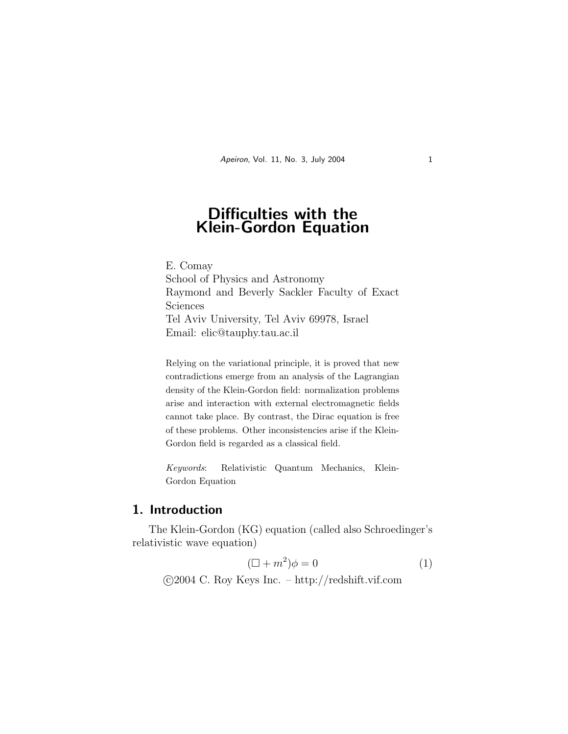# Difficulties with the Klein-Gordon Equation

E. Comay School of Physics and Astronomy Raymond and Beverly Sackler Faculty of Exact Sciences Tel Aviv University, Tel Aviv 69978, Israel Email: elic@tauphy.tau.ac.il

Relying on the variational principle, it is proved that new contradictions emerge from an analysis of the Lagrangian density of the Klein-Gordon field: normalization problems arise and interaction with external electromagnetic fields cannot take place. By contrast, the Dirac equation is free of these problems. Other inconsistencies arise if the Klein-Gordon field is regarded as a classical field.

Keywords: Relativistic Quantum Mechanics, Klein-Gordon Equation

#### 1. Introduction

The Klein-Gordon (KG) equation (called also Schroedinger's relativistic wave equation)

$$
(\Box + m^2)\phi = 0\tag{1}
$$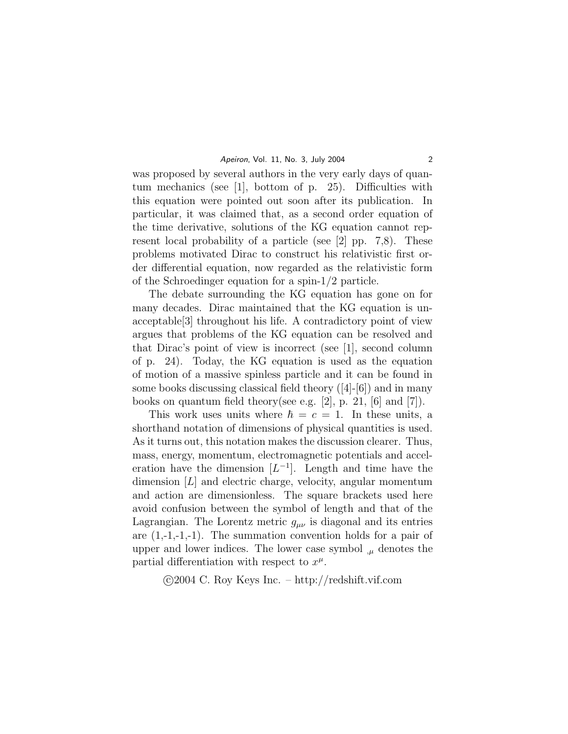was proposed by several authors in the very early days of quantum mechanics (see [1], bottom of p. 25). Difficulties with this equation were pointed out soon after its publication. In particular, it was claimed that, as a second order equation of the time derivative, solutions of the KG equation cannot represent local probability of a particle (see [2] pp. 7,8). These problems motivated Dirac to construct his relativistic first order differential equation, now regarded as the relativistic form of the Schroedinger equation for a spin-1/2 particle.

The debate surrounding the KG equation has gone on for many decades. Dirac maintained that the KG equation is unacceptable[3] throughout his life. A contradictory point of view argues that problems of the KG equation can be resolved and that Dirac's point of view is incorrect (see [1], second column of p. 24). Today, the KG equation is used as the equation of motion of a massive spinless particle and it can be found in some books discussing classical field theory  $([4]-[6])$  and in many books on quantum field theory(see e.g. [2], p. 21, [6] and [7]).

This work uses units where  $\hbar = c = 1$ . In these units, a shorthand notation of dimensions of physical quantities is used. As it turns out, this notation makes the discussion clearer. Thus, mass, energy, momentum, electromagnetic potentials and acceleration have the dimension  $[L^{-1}]$ . Length and time have the dimension [L] and electric charge, velocity, angular momentum and action are dimensionless. The square brackets used here avoid confusion between the symbol of length and that of the Lagrangian. The Lorentz metric  $g_{\mu\nu}$  is diagonal and its entries are  $(1,-1,-1,-1)$ . The summation convention holds for a pair of upper and lower indices. The lower case symbol  $\mu$  denotes the partial differentiation with respect to  $x^{\mu}$ .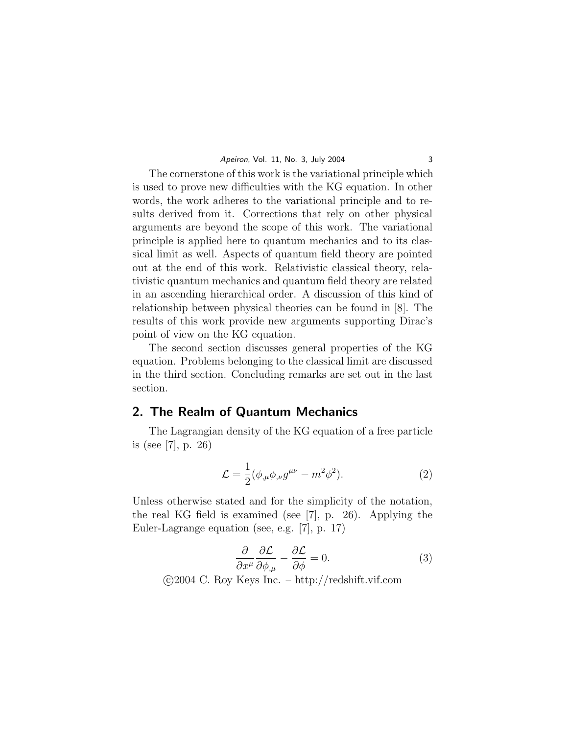The cornerstone of this work is the variational principle which is used to prove new difficulties with the KG equation. In other words, the work adheres to the variational principle and to results derived from it. Corrections that rely on other physical arguments are beyond the scope of this work. The variational principle is applied here to quantum mechanics and to its classical limit as well. Aspects of quantum field theory are pointed out at the end of this work. Relativistic classical theory, relativistic quantum mechanics and quantum field theory are related in an ascending hierarchical order. A discussion of this kind of relationship between physical theories can be found in [8]. The results of this work provide new arguments supporting Dirac's point of view on the KG equation.

The second section discusses general properties of the KG equation. Problems belonging to the classical limit are discussed in the third section. Concluding remarks are set out in the last section.

#### 2. The Realm of Quantum Mechanics

The Lagrangian density of the KG equation of a free particle is (see [7], p. 26)

$$
\mathcal{L} = \frac{1}{2} (\phi_{,\mu} \phi_{,\nu} g^{\mu\nu} - m^2 \phi^2).
$$
 (2)

Unless otherwise stated and for the simplicity of the notation, the real KG field is examined (see [7], p. 26). Applying the Euler-Lagrange equation (see, e.g. [7], p. 17)

$$
\frac{\partial}{\partial x^{\mu}} \frac{\partial \mathcal{L}}{\partial \phi_{,\mu}} - \frac{\partial \mathcal{L}}{\partial \phi} = 0.
$$
 (3)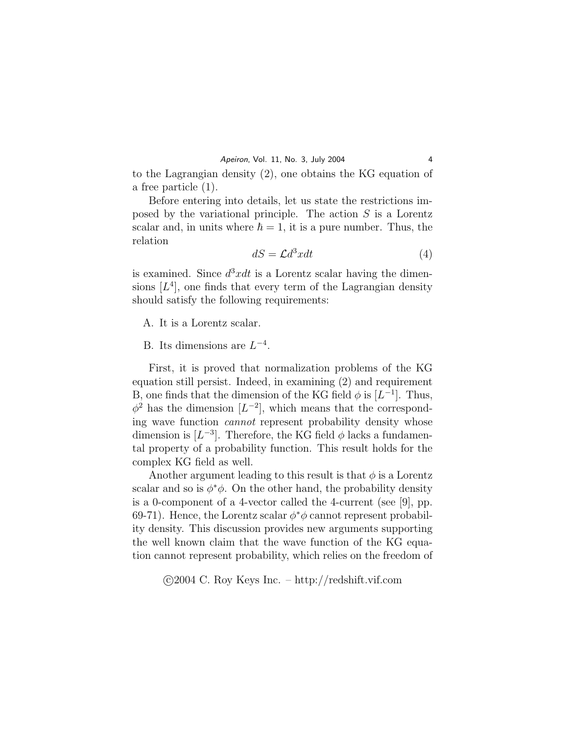to the Lagrangian density (2), one obtains the KG equation of a free particle (1).

Before entering into details, let us state the restrictions imposed by the variational principle. The action S is a Lorentz scalar and, in units where  $\hbar = 1$ , it is a pure number. Thus, the relation

$$
dS = \mathcal{L}d^3xdt\tag{4}
$$

is examined. Since  $d^3xdt$  is a Lorentz scalar having the dimensions  $[L<sup>4</sup>]$ , one finds that every term of the Lagrangian density should satisfy the following requirements:

A. It is a Lorentz scalar.

## B. Its dimensions are  $L^{-4}$ .

First, it is proved that normalization problems of the KG equation still persist. Indeed, in examining (2) and requirement B, one finds that the dimension of the KG field  $\phi$  is  $[L^{-1}]$ . Thus,  $\phi^2$  has the dimension  $[L^{-2}]$ , which means that the corresponding wave function cannot represent probability density whose dimension is  $[L^{-3}]$ . Therefore, the KG field  $\phi$  lacks a fundamental property of a probability function. This result holds for the complex KG field as well.

Another argument leading to this result is that  $\phi$  is a Lorentz scalar and so is  $\phi^*\phi$ . On the other hand, the probability density is a 0-component of a 4-vector called the 4-current (see [9], pp. 69-71). Hence, the Lorentz scalar  $\phi^*\phi$  cannot represent probability density. This discussion provides new arguments supporting the well known claim that the wave function of the KG equation cannot represent probability, which relies on the freedom of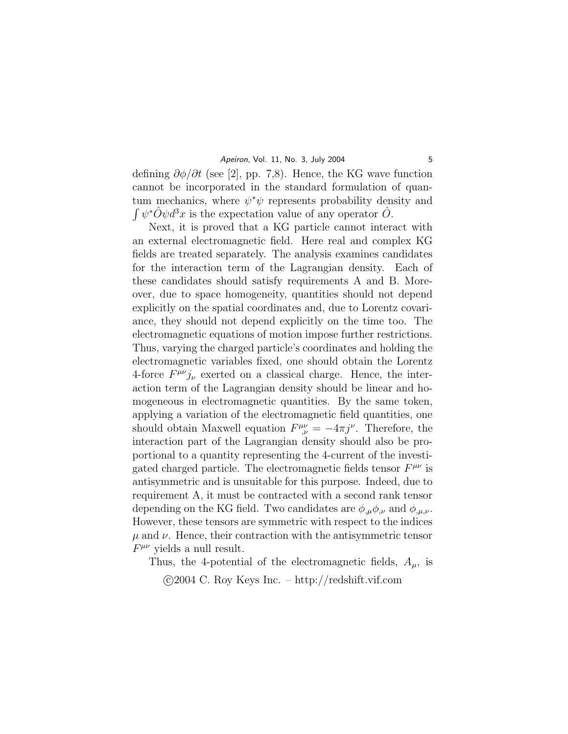defining  $\partial \phi / \partial t$  (see [2], pp. 7,8). Hence, the KG wave function cannot be incorporated in the standard formulation of quantum mechanics, where  $\psi^*\psi$  represents probability density and  $\int \psi^* \hat{O} \psi d^3x$  is the expectation value of any operator  $\hat{O}$ .

Next, it is proved that a KG particle cannot interact with an external electromagnetic field. Here real and complex KG fields are treated separately. The analysis examines candidates for the interaction term of the Lagrangian density. Each of these candidates should satisfy requirements A and B. Moreover, due to space homogeneity, quantities should not depend explicitly on the spatial coordinates and, due to Lorentz covariance, they should not depend explicitly on the time too. The electromagnetic equations of motion impose further restrictions. Thus, varying the charged particle's coordinates and holding the electromagnetic variables fixed, one should obtain the Lorentz 4-force  $F^{\mu\nu}j_{\nu}$  exerted on a classical charge. Hence, the interaction term of the Lagrangian density should be linear and homogeneous in electromagnetic quantities. By the same token, applying a variation of the electromagnetic field quantities, one should obtain Maxwell equation  $F^{\mu\nu}_{,\nu} = -4\pi j^{\nu}$ . Therefore, the interaction part of the Lagrangian density should also be proportional to a quantity representing the 4-current of the investigated charged particle. The electromagnetic fields tensor  $F^{\mu\nu}$  is antisymmetric and is unsuitable for this purpose. Indeed, due to requirement A, it must be contracted with a second rank tensor depending on the KG field. Two candidates are  $\phi_{,\mu}\phi_{,\nu}$  and  $\phi_{,\mu,\nu}$ . However, these tensors are symmetric with respect to the indices  $\mu$  and  $\nu$ . Hence, their contraction with the antisymmetric tensor  $F^{\mu\nu}$  yields a null result.

Thus, the 4-potential of the electromagnetic fields,  $A_{\mu}$ , is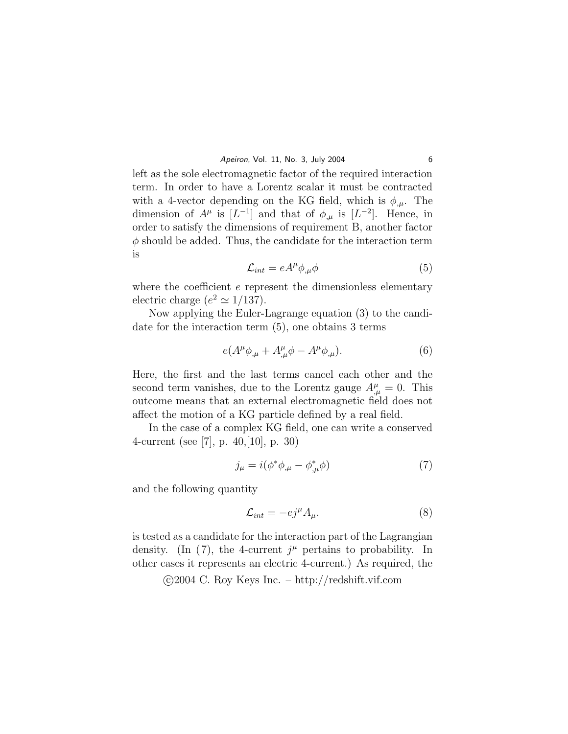left as the sole electromagnetic factor of the required interaction term. In order to have a Lorentz scalar it must be contracted with a 4-vector depending on the KG field, which is  $\phi_{\mu}$ . The dimension of  $A^{\mu}$  is  $[L^{-1}]$  and that of  $\phi_{,\mu}$  is  $[L^{-2}]$ . Hence, in order to satisfy the dimensions of requirement B, another factor  $\phi$  should be added. Thus, the candidate for the interaction term is

$$
\mathcal{L}_{int} = eA^{\mu} \phi_{,\mu} \phi \tag{5}
$$

where the coefficient  $e$  represent the dimensionless elementary electric charge  $(e^2 \simeq 1/137)$ .

Now applying the Euler-Lagrange equation (3) to the candidate for the interaction term (5), one obtains 3 terms

$$
e(A^{\mu}\phi_{,\mu} + A^{\mu}_{,\mu}\phi - A^{\mu}\phi_{,\mu}). \tag{6}
$$

Here, the first and the last terms cancel each other and the second term vanishes, due to the Lorentz gauge  $A^{\mu}_{,\mu} = 0$ . This outcome means that an external electromagnetic field does not affect the motion of a KG particle defined by a real field.

In the case of a complex KG field, one can write a conserved 4-current (see [7], p. 40,[10], p. 30)

$$
j_{\mu} = i(\phi^* \phi_{,\mu} - \phi^*_{,\mu} \phi) \tag{7}
$$

and the following quantity

$$
\mathcal{L}_{int} = -e j^{\mu} A_{\mu}.
$$
 (8)

is tested as a candidate for the interaction part of the Lagrangian density. (In (7), the 4-current  $j^{\mu}$  pertains to probability. In other cases it represents an electric 4-current.) As required, the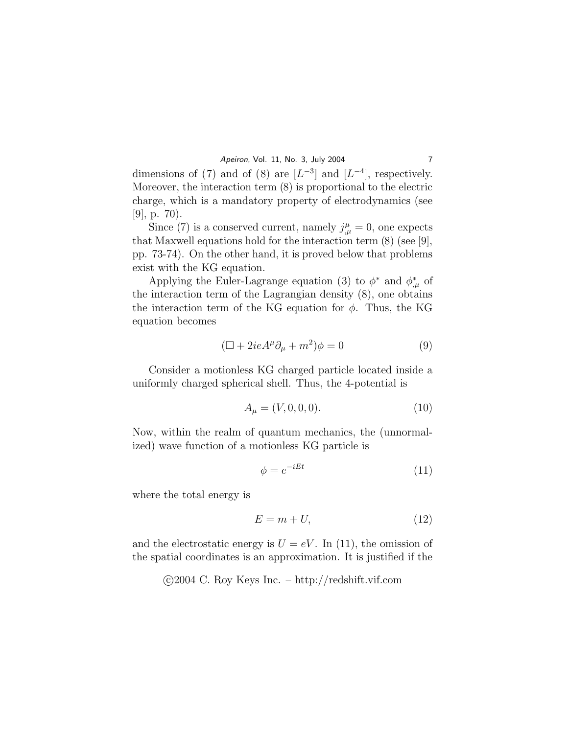dimensions of (7) and of (8) are  $[L^{-3}]$  and  $[L^{-4}]$ , respectively. Moreover, the interaction term (8) is proportional to the electric charge, which is a mandatory property of electrodynamics (see  $|9|, p. 70$ .

Since (7) is a conserved current, namely  $j^{\mu}_{,\mu} = 0$ , one expects that Maxwell equations hold for the interaction term (8) (see [9], pp. 73-74). On the other hand, it is proved below that problems exist with the KG equation.

Applying the Euler-Lagrange equation (3) to  $\phi^*$  and  $\phi^*_{,\mu}$  of the interaction term of the Lagrangian density (8), one obtains the interaction term of the KG equation for  $\phi$ . Thus, the KG equation becomes

$$
(\Box + 2ieA^{\mu}\partial_{\mu} + m^2)\phi = 0 \tag{9}
$$

Consider a motionless KG charged particle located inside a uniformly charged spherical shell. Thus, the 4-potential is

$$
A_{\mu} = (V, 0, 0, 0). \tag{10}
$$

Now, within the realm of quantum mechanics, the (unnormalized) wave function of a motionless KG particle is

$$
\phi = e^{-iEt} \tag{11}
$$

where the total energy is

$$
E = m + U,\t\t(12)
$$

and the electrostatic energy is  $U = eV$ . In (11), the omission of the spatial coordinates is an approximation. It is justified if the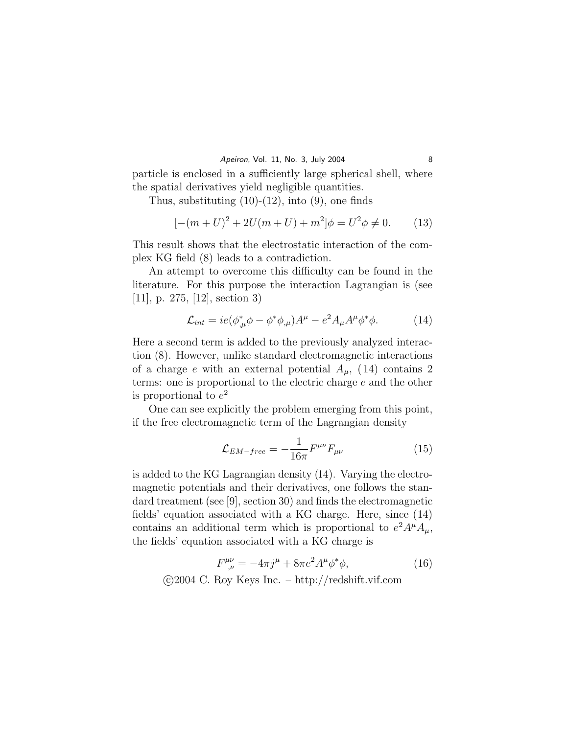particle is enclosed in a sufficiently large spherical shell, where the spatial derivatives yield negligible quantities.

Thus, substituting  $(10)-(12)$ , into  $(9)$ , one finds

$$
[-(m+U)^{2} + 2U(m+U) + m^{2}]\phi = U^{2}\phi \neq 0.
$$
 (13)

This result shows that the electrostatic interaction of the complex KG field (8) leads to a contradiction.

An attempt to overcome this difficulty can be found in the literature. For this purpose the interaction Lagrangian is (see [11], p. 275, [12], section 3)

$$
\mathcal{L}_{int} = ie(\phi_{,\mu}^* \phi - \phi^* \phi_{,\mu})A^{\mu} - e^2 A_{\mu} A^{\mu} \phi^* \phi.
$$
 (14)

Here a second term is added to the previously analyzed interaction (8). However, unlike standard electromagnetic interactions of a charge e with an external potential  $A_{\mu}$ , (14) contains 2 terms: one is proportional to the electric charge e and the other is proportional to  $e^2$ 

One can see explicitly the problem emerging from this point, if the free electromagnetic term of the Lagrangian density

$$
\mathcal{L}_{EM-free} = -\frac{1}{16\pi} F^{\mu\nu} F_{\mu\nu} \tag{15}
$$

is added to the KG Lagrangian density (14). Varying the electromagnetic potentials and their derivatives, one follows the standard treatment (see [9], section 30) and finds the electromagnetic fields' equation associated with a KG charge. Here, since (14) contains an additional term which is proportional to  $e^2 A^{\mu} A_{\mu}$ , the fields' equation associated with a KG charge is

$$
F^{\mu\nu}_{\,\,\nu} = -4\pi j^{\mu} + 8\pi e^2 A^{\mu} \phi^* \phi,\tag{16}
$$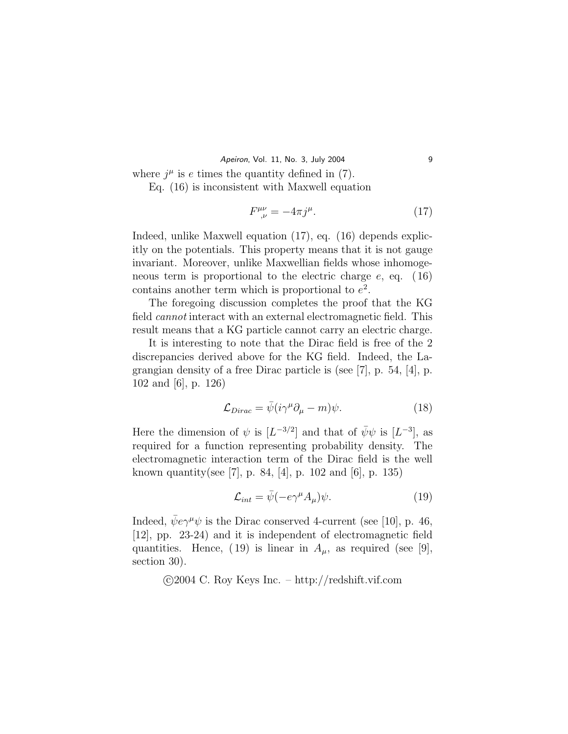Apeiron, Vol. 11, No. 3, July 2004 9

where  $j^{\mu}$  is e times the quantity defined in (7).

Eq. (16) is inconsistent with Maxwell equation

$$
F^{\mu\nu}_{\,\,\nu} = -4\pi j^{\mu}.\tag{17}
$$

Indeed, unlike Maxwell equation (17), eq. (16) depends explicitly on the potentials. This property means that it is not gauge invariant. Moreover, unlike Maxwellian fields whose inhomogeneous term is proportional to the electric charge  $e$ , eq. (16) contains another term which is proportional to  $e^2$ .

The foregoing discussion completes the proof that the KG field cannot interact with an external electromagnetic field. This result means that a KG particle cannot carry an electric charge.

It is interesting to note that the Dirac field is free of the 2 discrepancies derived above for the KG field. Indeed, the Lagrangian density of a free Dirac particle is (see [7], p. 54, [4], p. 102 and [6], p. 126)

$$
\mathcal{L}_{Dirac} = \bar{\psi}(i\gamma^{\mu}\partial_{\mu} - m)\psi.
$$
 (18)

Here the dimension of  $\psi$  is  $[L^{-3/2}]$  and that of  $\bar{\psi}\psi$  is  $[L^{-3}]$ , as required for a function representing probability density. The electromagnetic interaction term of the Dirac field is the well known quantity(see [7], p. 84, [4], p. 102 and [6], p. 135)

$$
\mathcal{L}_{int} = \bar{\psi}(-e\gamma^{\mu}A_{\mu})\psi.
$$
 (19)

Indeed,  $\bar{\psi}e\gamma^{\mu}\psi$  is the Dirac conserved 4-current (see [10], p. 46, [12], pp. 23-24) and it is independent of electromagnetic field quantities. Hence, (19) is linear in  $A_{\mu}$ , as required (see [9], section 30).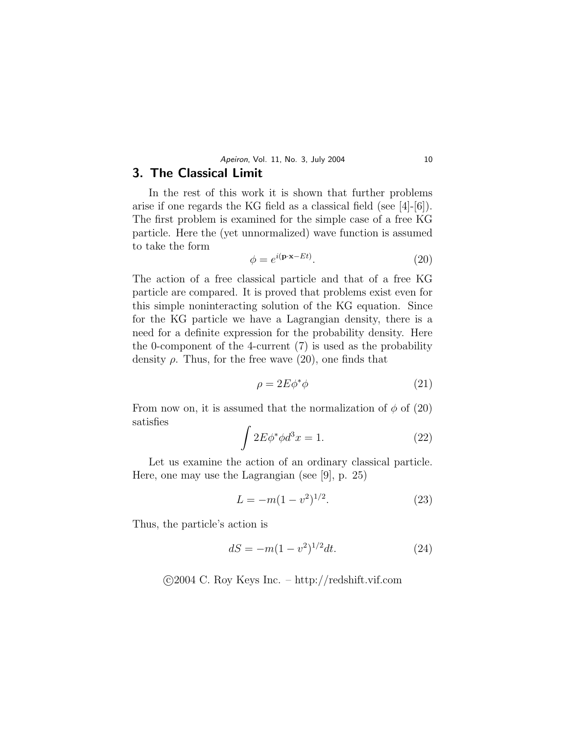## 3. The Classical Limit

In the rest of this work it is shown that further problems arise if one regards the KG field as a classical field (see [4]-[6]). The first problem is examined for the simple case of a free KG particle. Here the (yet unnormalized) wave function is assumed to take the form

$$
\phi = e^{i(\mathbf{p}\cdot\mathbf{x} - Et)}.
$$
\n(20)

The action of a free classical particle and that of a free KG particle are compared. It is proved that problems exist even for this simple noninteracting solution of the KG equation. Since for the KG particle we have a Lagrangian density, there is a need for a definite expression for the probability density. Here the 0-component of the 4-current (7) is used as the probability density  $\rho$ . Thus, for the free wave (20), one finds that

$$
\rho = 2E\phi^*\phi \tag{21}
$$

From now on, it is assumed that the normalization of  $\phi$  of (20) satisfies

$$
\int 2E\phi^*\phi d^3x = 1.
$$
 (22)

Let us examine the action of an ordinary classical particle. Here, one may use the Lagrangian (see [9], p. 25)

$$
L = -m(1 - v^2)^{1/2}.
$$
\n(23)

Thus, the particle's action is

$$
dS = -m(1 - v^2)^{1/2}dt.
$$
 (24)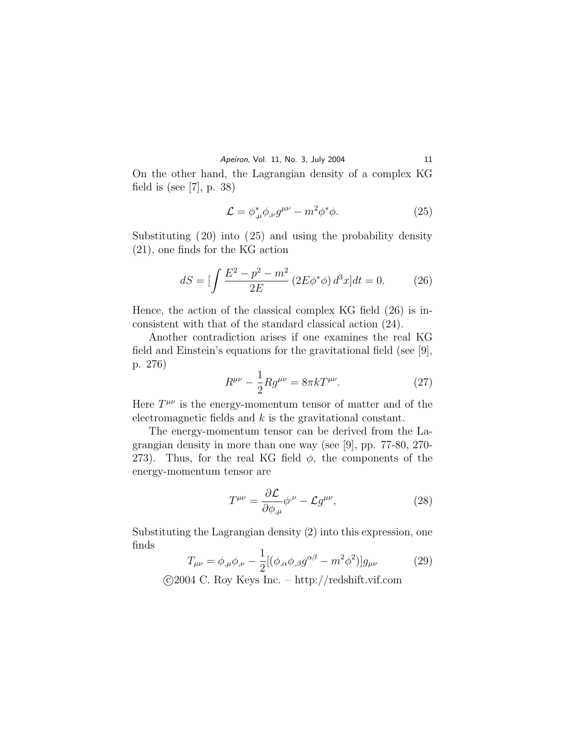On the other hand, the Lagrangian density of a complex KG field is (see [7], p. 38)

$$
\mathcal{L} = \phi^*_{,\mu} \phi_{,\nu} g^{\mu\nu} - m^2 \phi^* \phi. \tag{25}
$$

Substituting (20) into (25) and using the probability density (21), one finds for the KG action

$$
dS = \left[ \int \frac{E^2 - p^2 - m^2}{2E} \left( 2E \phi^* \phi \right) d^3 x \right] dt = 0. \tag{26}
$$

Hence, the action of the classical complex KG field (26) is inconsistent with that of the standard classical action (24).

Another contradiction arises if one examines the real KG field and Einstein's equations for the gravitational field (see [9], p. 276)

$$
R^{\mu\nu} - \frac{1}{2} R g^{\mu\nu} = 8\pi k T^{\mu\nu}.
$$
 (27)

Here  $T^{\mu\nu}$  is the energy-momentum tensor of matter and of the electromagnetic fields and  $k$  is the gravitational constant.

The energy-momentum tensor can be derived from the Lagrangian density in more than one way (see [9], pp. 77-80, 270- 273). Thus, for the real KG field  $\phi$ , the components of the energy-momentum tensor are

$$
T^{\mu\nu} = \frac{\partial \mathcal{L}}{\partial \phi_{,\mu}} \phi^{\nu} - \mathcal{L} g^{\mu\nu},\tag{28}
$$

Substituting the Lagrangian density (2) into this expression, one finds

$$
T_{\mu\nu} = \phi_{,\mu}\phi_{,\nu} - \frac{1}{2} [(\phi_{,\alpha}\phi_{,\beta}g^{\alpha\beta} - m^2\phi^2)]g_{\mu\nu}
$$
 (29)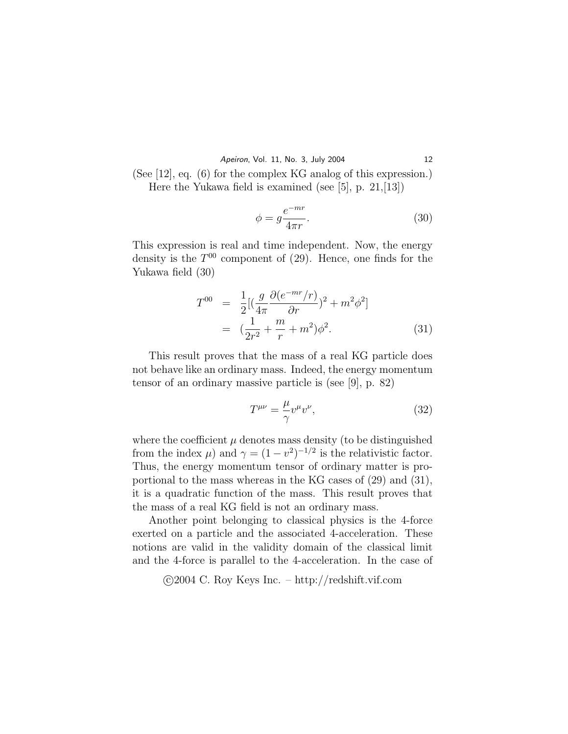Apeiron, Vol. 11, No. 3, July 2004 12

(See [12], eq. (6) for the complex KG analog of this expression.) Here the Yukawa field is examined (see [5], p. 21,[13])

$$
\phi = g \frac{e^{-mr}}{4\pi r}.\tag{30}
$$

This expression is real and time independent. Now, the energy density is the  $T^{00}$  component of (29). Hence, one finds for the Yukawa field (30)

$$
T^{00} = \frac{1}{2} [(\frac{g}{4\pi} \frac{\partial (e^{-mr}/r)}{\partial r})^2 + m^2 \phi^2]
$$
  
=  $(\frac{1}{2r^2} + \frac{m}{r} + m^2) \phi^2$ . (31)

This result proves that the mass of a real KG particle does not behave like an ordinary mass. Indeed, the energy momentum tensor of an ordinary massive particle is (see [9], p. 82)

$$
T^{\mu\nu} = \frac{\mu}{\gamma} v^{\mu} v^{\nu},\tag{32}
$$

where the coefficient  $\mu$  denotes mass density (to be distinguished from the index  $\mu$ ) and  $\gamma = (1 - v^2)^{-1/2}$  is the relativistic factor. Thus, the energy momentum tensor of ordinary matter is proportional to the mass whereas in the KG cases of (29) and (31), it is a quadratic function of the mass. This result proves that the mass of a real KG field is not an ordinary mass.

Another point belonging to classical physics is the 4-force exerted on a particle and the associated 4-acceleration. These notions are valid in the validity domain of the classical limit and the 4-force is parallel to the 4-acceleration. In the case of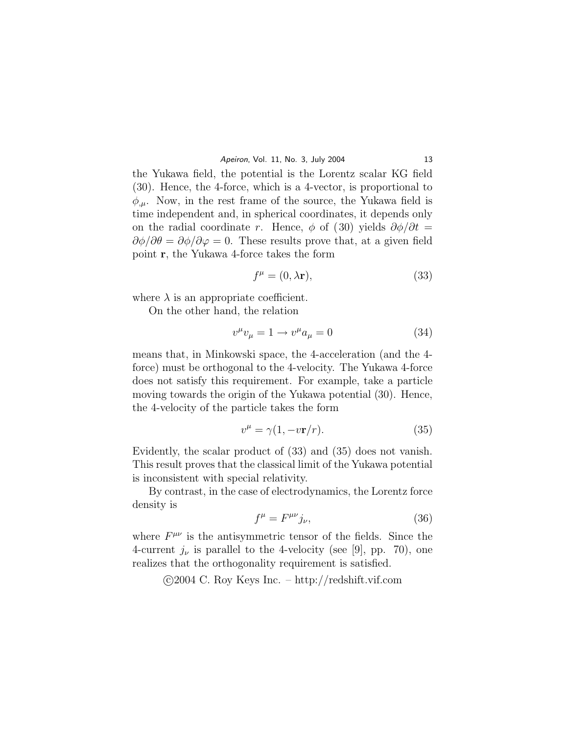the Yukawa field, the potential is the Lorentz scalar KG field (30). Hence, the 4-force, which is a 4-vector, is proportional to  $\phi_{\mu}$ . Now, in the rest frame of the source, the Yukawa field is time independent and, in spherical coordinates, it depends only on the radial coordinate r. Hence,  $\phi$  of (30) yields  $\partial \phi / \partial t =$  $\partial \phi / \partial \theta = \partial \phi / \partial \varphi = 0$ . These results prove that, at a given field point r, the Yukawa 4-force takes the form

$$
f^{\mu} = (0, \lambda \mathbf{r}),\tag{33}
$$

where  $\lambda$  is an appropriate coefficient.

On the other hand, the relation

$$
v^{\mu}v_{\mu} = 1 \to v^{\mu}a_{\mu} = 0 \tag{34}
$$

means that, in Minkowski space, the 4-acceleration (and the 4 force) must be orthogonal to the 4-velocity. The Yukawa 4-force does not satisfy this requirement. For example, take a particle moving towards the origin of the Yukawa potential (30). Hence, the 4-velocity of the particle takes the form

$$
v^{\mu} = \gamma (1, -v\mathbf{r}/r). \tag{35}
$$

Evidently, the scalar product of (33) and (35) does not vanish. This result proves that the classical limit of the Yukawa potential is inconsistent with special relativity.

By contrast, in the case of electrodynamics, the Lorentz force density is

$$
f^{\mu} = F^{\mu\nu} j_{\nu},\tag{36}
$$

where  $F^{\mu\nu}$  is the antisymmetric tensor of the fields. Since the 4-current  $j_{\nu}$  is parallel to the 4-velocity (see [9], pp. 70), one realizes that the orthogonality requirement is satisfied.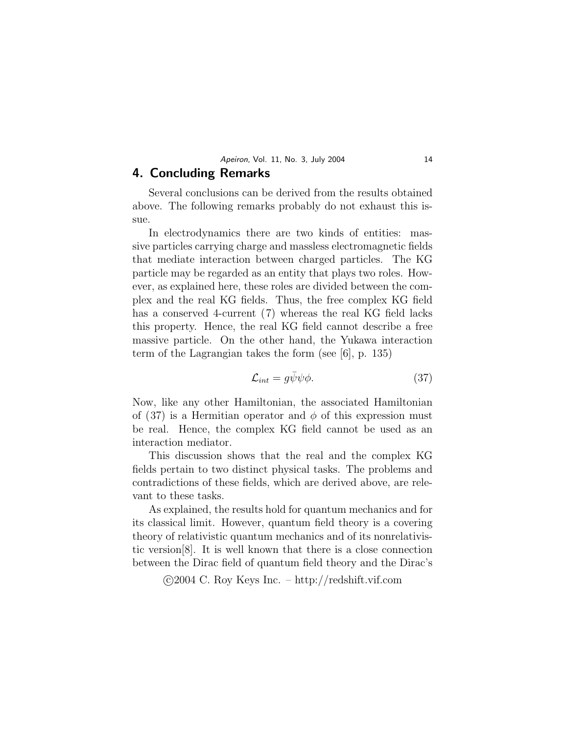# 4. Concluding Remarks

Several conclusions can be derived from the results obtained above. The following remarks probably do not exhaust this issue.

In electrodynamics there are two kinds of entities: massive particles carrying charge and massless electromagnetic fields that mediate interaction between charged particles. The KG particle may be regarded as an entity that plays two roles. However, as explained here, these roles are divided between the complex and the real KG fields. Thus, the free complex KG field has a conserved 4-current (7) whereas the real KG field lacks this property. Hence, the real KG field cannot describe a free massive particle. On the other hand, the Yukawa interaction term of the Lagrangian takes the form (see [6], p. 135)

$$
\mathcal{L}_{int} = g\bar{\psi}\psi\phi. \tag{37}
$$

Now, like any other Hamiltonian, the associated Hamiltonian of (37) is a Hermitian operator and  $\phi$  of this expression must be real. Hence, the complex KG field cannot be used as an interaction mediator.

This discussion shows that the real and the complex KG fields pertain to two distinct physical tasks. The problems and contradictions of these fields, which are derived above, are relevant to these tasks.

As explained, the results hold for quantum mechanics and for its classical limit. However, quantum field theory is a covering theory of relativistic quantum mechanics and of its nonrelativistic version[8]. It is well known that there is a close connection between the Dirac field of quantum field theory and the Dirac's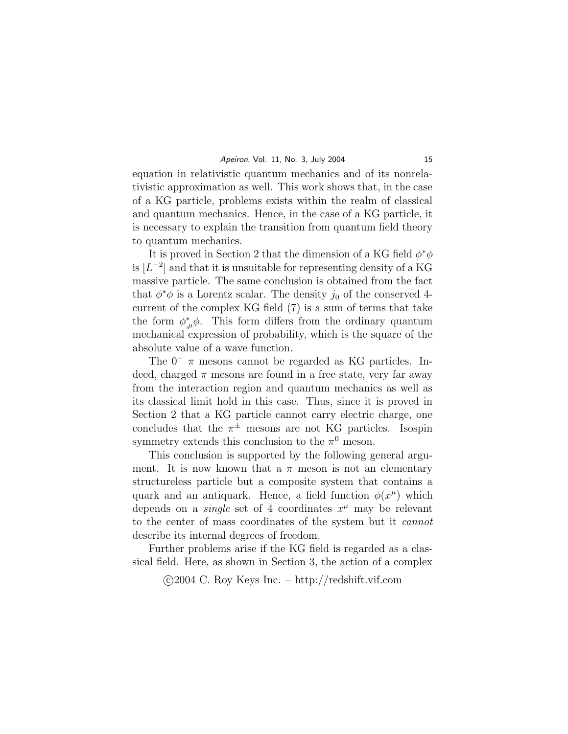equation in relativistic quantum mechanics and of its nonrelativistic approximation as well. This work shows that, in the case of a KG particle, problems exists within the realm of classical and quantum mechanics. Hence, in the case of a KG particle, it is necessary to explain the transition from quantum field theory to quantum mechanics.

It is proved in Section 2 that the dimension of a KG field  $\phi^*\phi$ is  $[L^{-2}]$  and that it is unsuitable for representing density of a KG massive particle. The same conclusion is obtained from the fact that  $\phi^*\phi$  is a Lorentz scalar. The density  $j_0$  of the conserved 4current of the complex KG field (7) is a sum of terms that take the form  $\phi^*_{,\mu}\phi$ . This form differs from the ordinary quantum mechanical expression of probability, which is the square of the absolute value of a wave function.

The  $0^ \pi$  mesons cannot be regarded as KG particles. Indeed, charged  $\pi$  mesons are found in a free state, very far away from the interaction region and quantum mechanics as well as its classical limit hold in this case. Thus, since it is proved in Section 2 that a KG particle cannot carry electric charge, one concludes that the  $\pi^{\pm}$  mesons are not KG particles. Isospin symmetry extends this conclusion to the  $\pi^0$  meson.

This conclusion is supported by the following general argument. It is now known that a  $\pi$  meson is not an elementary structureless particle but a composite system that contains a quark and an antiquark. Hence, a field function  $\phi(x^{\mu})$  which depends on a *single* set of 4 coordinates  $x^{\mu}$  may be relevant to the center of mass coordinates of the system but it cannot describe its internal degrees of freedom.

Further problems arise if the KG field is regarded as a classical field. Here, as shown in Section 3, the action of a complex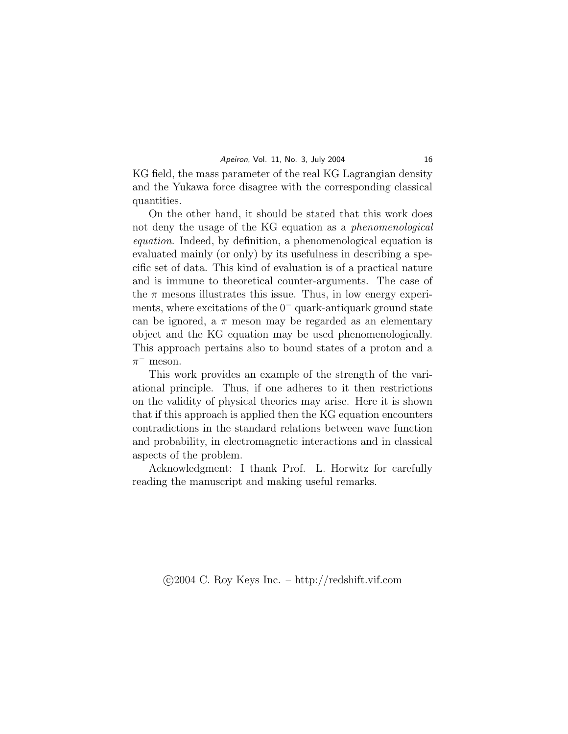KG field, the mass parameter of the real KG Lagrangian density and the Yukawa force disagree with the corresponding classical quantities.

On the other hand, it should be stated that this work does not deny the usage of the KG equation as a phenomenological equation. Indeed, by definition, a phenomenological equation is evaluated mainly (or only) by its usefulness in describing a specific set of data. This kind of evaluation is of a practical nature and is immune to theoretical counter-arguments. The case of the  $\pi$  mesons illustrates this issue. Thus, in low energy experiments, where excitations of the  $0^-$  quark-antiquark ground state can be ignored, a  $\pi$  meson may be regarded as an elementary object and the KG equation may be used phenomenologically. This approach pertains also to bound states of a proton and a  $\pi^-$  meson.

This work provides an example of the strength of the variational principle. Thus, if one adheres to it then restrictions on the validity of physical theories may arise. Here it is shown that if this approach is applied then the KG equation encounters contradictions in the standard relations between wave function and probability, in electromagnetic interactions and in classical aspects of the problem.

Acknowledgment: I thank Prof. L. Horwitz for carefully reading the manuscript and making useful remarks.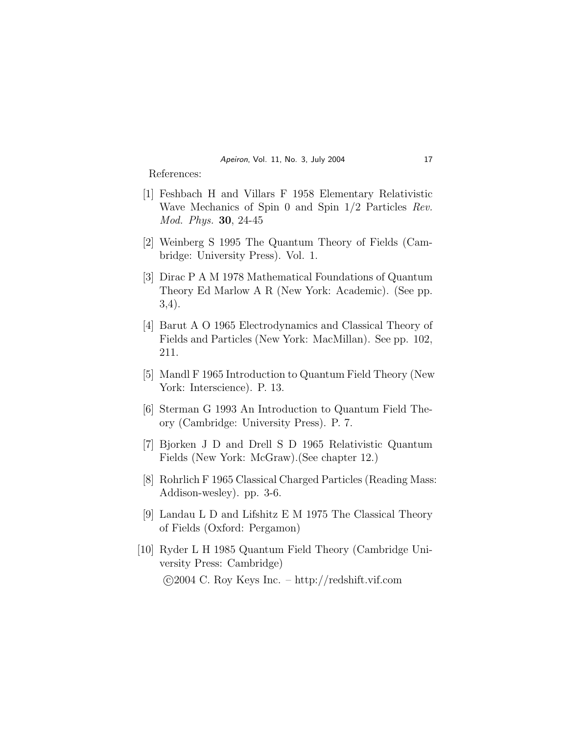References:

- [1] Feshbach H and Villars F 1958 Elementary Relativistic Wave Mechanics of Spin 0 and Spin 1/2 Particles Rev. Mod. Phys. 30, 24-45
- [2] Weinberg S 1995 The Quantum Theory of Fields (Cambridge: University Press). Vol. 1.
- [3] Dirac P A M 1978 Mathematical Foundations of Quantum Theory Ed Marlow A R (New York: Academic). (See pp. 3,4).
- [4] Barut A O 1965 Electrodynamics and Classical Theory of Fields and Particles (New York: MacMillan). See pp. 102, 211.
- [5] Mandl F 1965 Introduction to Quantum Field Theory (New York: Interscience). P. 13.
- [6] Sterman G 1993 An Introduction to Quantum Field Theory (Cambridge: University Press). P. 7.
- [7] Bjorken J D and Drell S D 1965 Relativistic Quantum Fields (New York: McGraw).(See chapter 12.)
- [8] Rohrlich F 1965 Classical Charged Particles (Reading Mass: Addison-wesley). pp. 3-6.
- [9] Landau L D and Lifshitz E M 1975 The Classical Theory of Fields (Oxford: Pergamon)
- [10] Ryder L H 1985 Quantum Field Theory (Cambridge University Press: Cambridge) °c 2004 C. Roy Keys Inc. – http://redshift.vif.com